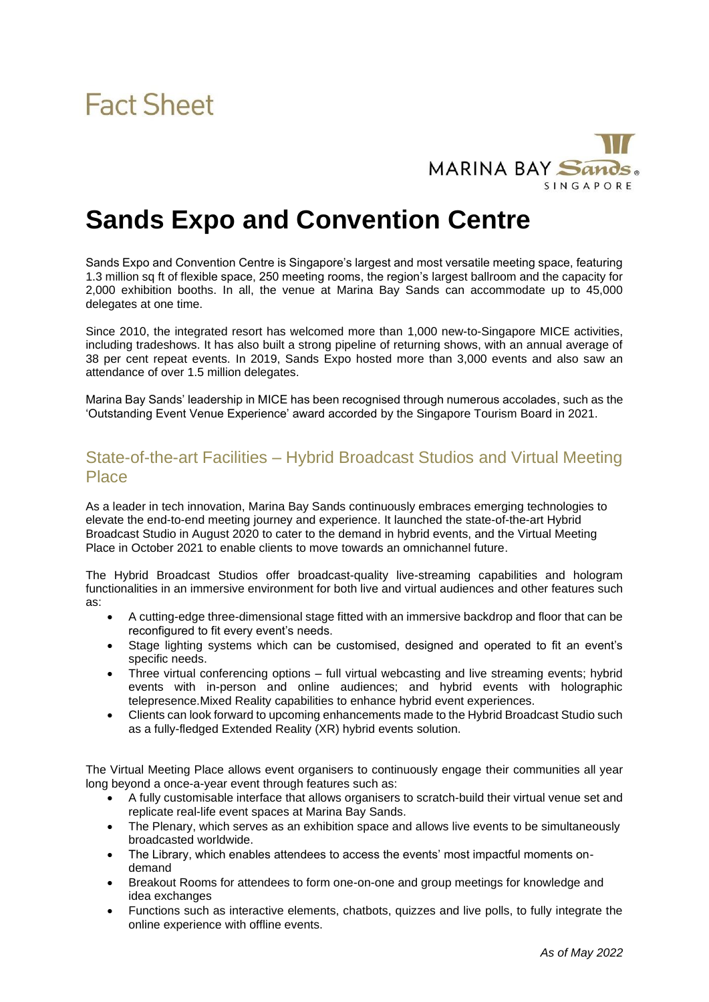

### **Sands Expo and Convention Centre**

Sands Expo and Convention Centre is Singapore's largest and most versatile meeting space, featuring 1.3 million sq ft of flexible space, 250 meeting rooms, the region's largest ballroom and the capacity for 2,000 exhibition booths. In all, the venue at Marina Bay Sands can accommodate up to 45,000 delegates at one time.

Since 2010, the integrated resort has welcomed more than 1,000 new-to-Singapore MICE activities, including tradeshows. It has also built a strong pipeline of returning shows, with an annual average of 38 per cent repeat events. In 2019, Sands Expo hosted more than 3,000 events and also saw an attendance of over 1.5 million delegates.

Marina Bay Sands' leadership in MICE has been recognised through numerous accolades, such as the 'Outstanding Event Venue Experience' award accorded by the Singapore Tourism Board in 2021.

#### State-of-the-art Facilities – Hybrid Broadcast Studios and Virtual Meeting **Place**

As a leader in tech innovation, Marina Bay Sands continuously embraces emerging technologies to elevate the end-to-end meeting journey and experience. It launched the state-of-the-art Hybrid Broadcast Studio in August 2020 to cater to the demand in hybrid events, and the Virtual Meeting Place in October 2021 to enable clients to move towards an omnichannel future.

The Hybrid Broadcast Studios offer broadcast-quality live-streaming capabilities and hologram functionalities in an immersive environment for both live and virtual audiences and other features such as:

- A cutting-edge three-dimensional stage fitted with an immersive backdrop and floor that can be reconfigured to fit every event's needs.
- Stage lighting systems which can be customised, designed and operated to fit an event's specific needs.
- Three virtual conferencing options full virtual webcasting and live streaming events; hybrid events with in-person and online audiences; and hybrid events with holographic telepresence.Mixed Reality capabilities to enhance hybrid event experiences.
- Clients can look forward to upcoming enhancements made to the Hybrid Broadcast Studio such as a fully-fledged Extended Reality (XR) hybrid events solution.

The Virtual Meeting Place allows event organisers to continuously engage their communities all year long beyond a once-a-year event through features such as:

- A fully customisable interface that allows organisers to scratch-build their virtual venue set and replicate real-life event spaces at Marina Bay Sands.
- The Plenary, which serves as an exhibition space and allows live events to be simultaneously broadcasted worldwide.
- The Library, which enables attendees to access the events' most impactful moments ondemand
- Breakout Rooms for attendees to form one-on-one and group meetings for knowledge and idea exchanges
- Functions such as interactive elements, chatbots, quizzes and live polls, to fully integrate the online experience with offline events.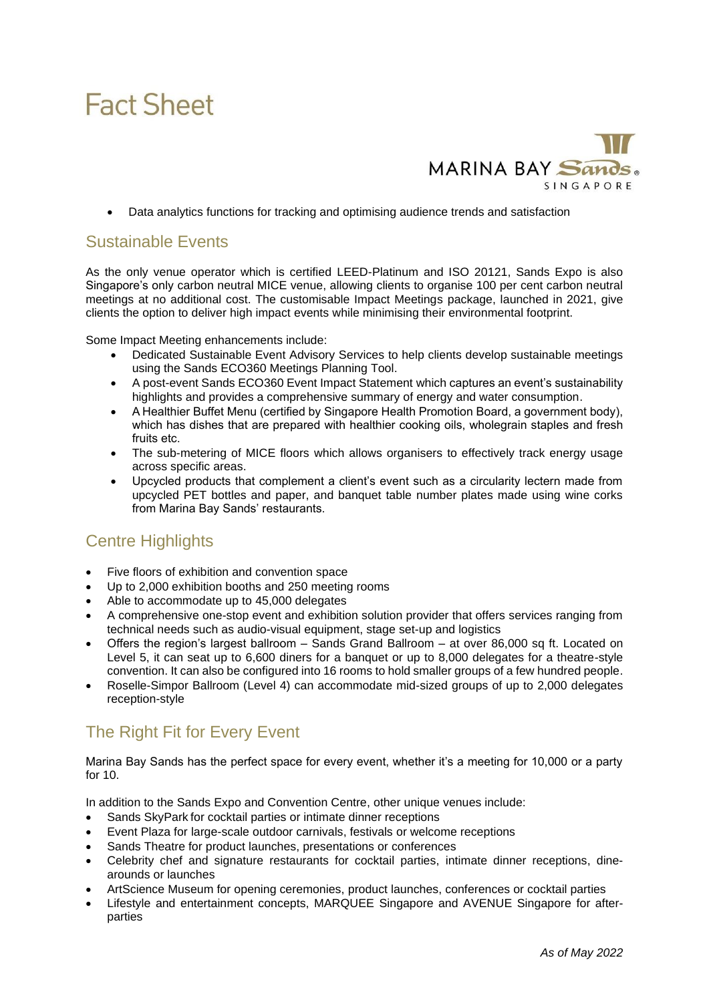# **Fact Sheet**



• Data analytics functions for tracking and optimising audience trends and satisfaction

#### Sustainable Events

As the only venue operator which is certified LEED-Platinum and ISO 20121, Sands Expo is also Singapore's only carbon neutral MICE venue, allowing clients to organise 100 per cent carbon neutral meetings at no additional cost. The customisable Impact Meetings package, launched in 2021, give clients the option to deliver high impact events while minimising their environmental footprint.

Some Impact Meeting enhancements include:

- Dedicated Sustainable Event Advisory Services to help clients develop sustainable meetings using the Sands ECO360 Meetings Planning Tool.
- A post-event Sands ECO360 Event Impact Statement which captures an event's sustainability highlights and provides a comprehensive summary of energy and water consumption.
- A Healthier Buffet Menu (certified by Singapore Health Promotion Board, a government body), which has dishes that are prepared with healthier cooking oils, wholegrain staples and fresh fruits etc.
- The sub-metering of MICE floors which allows organisers to effectively track energy usage across specific areas.
- Upcycled products that complement a client's event such as a circularity lectern made from upcycled PET bottles and paper, and banquet table number plates made using wine corks from Marina Bay Sands' restaurants.

#### Centre Highlights

- Five floors of exhibition and convention space
- Up to 2,000 exhibition booths and 250 meeting rooms
- Able to accommodate up to 45,000 delegates
- A comprehensive one-stop event and exhibition solution provider that offers services ranging from technical needs such as audio-visual equipment, stage set-up and logistics
- Offers the region's largest ballroom Sands Grand Ballroom at over 86,000 sq ft. Located on Level 5, it can seat up to 6,600 diners for a banquet or up to 8,000 delegates for a theatre-style convention. It can also be configured into 16 rooms to hold smaller groups of a few hundred people.
- Roselle-Simpor Ballroom (Level 4) can accommodate mid-sized groups of up to 2,000 delegates reception-style

### The Right Fit for Every Event

Marina Bay Sands has the perfect space for every event, whether it's a meeting for 10,000 or a party for 10.

In addition to the Sands Expo and Convention Centre, other unique venues include:

- Sands SkyPark for cocktail parties or intimate dinner receptions
- Event Plaza for large-scale outdoor carnivals, festivals or welcome receptions
- Sands Theatre for product launches, presentations or conferences
- Celebrity chef and signature restaurants for cocktail parties, intimate dinner receptions, dinearounds or launches
- ArtScience Museum for opening ceremonies, product launches, conferences or cocktail parties
- Lifestyle and entertainment concepts, MARQUEE Singapore and AVENUE Singapore for afterparties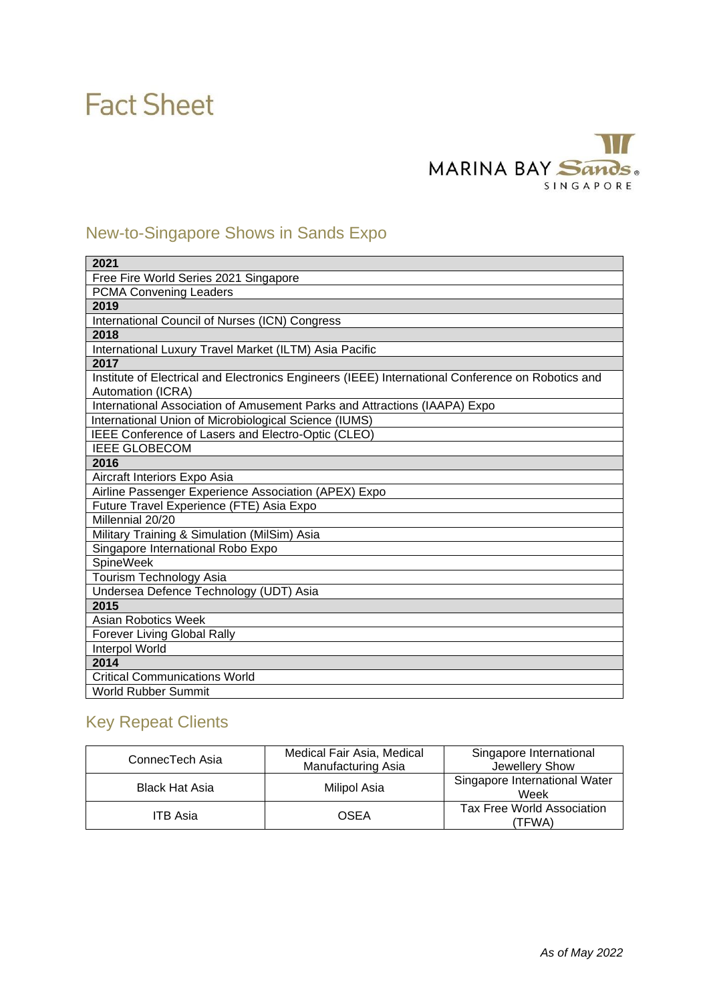# **Fact Sheet**

### $\overline{11}$ MARINA BAY Sands. SINGAPORE

### New-to-Singapore Shows in Sands Expo

| 2021                                                                                                                   |  |  |
|------------------------------------------------------------------------------------------------------------------------|--|--|
| Free Fire World Series 2021 Singapore                                                                                  |  |  |
| <b>PCMA Convening Leaders</b>                                                                                          |  |  |
| 2019                                                                                                                   |  |  |
| International Council of Nurses (ICN) Congress                                                                         |  |  |
| 2018                                                                                                                   |  |  |
| International Luxury Travel Market (ILTM) Asia Pacific                                                                 |  |  |
| 2017                                                                                                                   |  |  |
| Institute of Electrical and Electronics Engineers (IEEE) International Conference on Robotics and<br>Automation (ICRA) |  |  |
| International Association of Amusement Parks and Attractions (IAAPA) Expo                                              |  |  |
| International Union of Microbiological Science (IUMS)                                                                  |  |  |
| IEEE Conference of Lasers and Electro-Optic (CLEO)                                                                     |  |  |
| <b>IEEE GLOBECOM</b>                                                                                                   |  |  |
| 2016                                                                                                                   |  |  |
| Aircraft Interiors Expo Asia                                                                                           |  |  |
| Airline Passenger Experience Association (APEX) Expo                                                                   |  |  |
| Future Travel Experience (FTE) Asia Expo                                                                               |  |  |
| Millennial 20/20                                                                                                       |  |  |
| Military Training & Simulation (MilSim) Asia                                                                           |  |  |
| Singapore International Robo Expo                                                                                      |  |  |
| <b>SpineWeek</b>                                                                                                       |  |  |
| Tourism Technology Asia                                                                                                |  |  |
| Undersea Defence Technology (UDT) Asia                                                                                 |  |  |
| 2015                                                                                                                   |  |  |
| <b>Asian Robotics Week</b>                                                                                             |  |  |
| <b>Forever Living Global Rally</b>                                                                                     |  |  |
| Interpol World                                                                                                         |  |  |
| 2014                                                                                                                   |  |  |
| <b>Critical Communications World</b>                                                                                   |  |  |
| World Rubber Summit                                                                                                    |  |  |

### Key Repeat Clients

| ConnecTech Asia       | Medical Fair Asia, Medical<br>Manufacturing Asia | Singapore International<br>Jewellery Show |
|-----------------------|--------------------------------------------------|-------------------------------------------|
| <b>Black Hat Asia</b> | Milipol Asia                                     | Singapore International Water<br>Week     |
| <b>ITB Asia</b>       | OSEA                                             | Tax Free World Association<br>'TFWA)      |